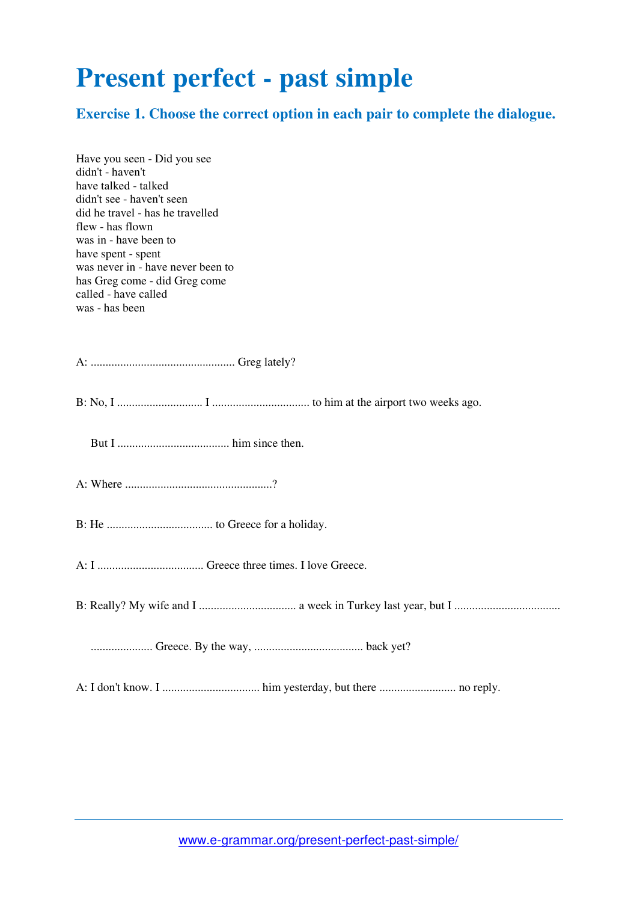## **Present perfect - past simple**

**Exercise 1. Choose the correct option in each pair to complete the dialogue.** 

| Have you seen - Did you see<br>didn't - haven't<br>have talked - talked<br>didn't see - haven't seen<br>did he travel - has he travelled<br>flew - has flown<br>was in - have been to<br>have spent - spent<br>was never in - have never been to<br>has Greg come - did Greg come |
|-----------------------------------------------------------------------------------------------------------------------------------------------------------------------------------------------------------------------------------------------------------------------------------|
| called - have called                                                                                                                                                                                                                                                              |
| was - has been                                                                                                                                                                                                                                                                    |
|                                                                                                                                                                                                                                                                                   |
|                                                                                                                                                                                                                                                                                   |
|                                                                                                                                                                                                                                                                                   |
|                                                                                                                                                                                                                                                                                   |
|                                                                                                                                                                                                                                                                                   |
|                                                                                                                                                                                                                                                                                   |
|                                                                                                                                                                                                                                                                                   |
|                                                                                                                                                                                                                                                                                   |
|                                                                                                                                                                                                                                                                                   |